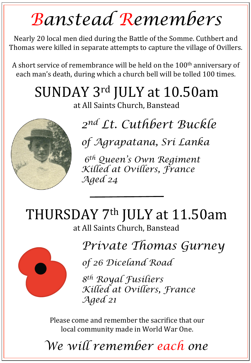## *Banstead Remembers*

Nearly 20 local men died during the Battle of the Somme. Cuthbert and Thomas were killed in separate attempts to capture the village of Ovillers.

A short service of remembrance will be held on the  $100<sup>th</sup>$  anniversary of each man's death, during which a church bell will be tolled 100 times.

## SUNDAY 3rd JULY at 10.50am

at All Saints Church, Banstead



*2nd Lt. Cuthbert Buckle* 

*of Agrapatana, Sri Lanka* 

 *6th Queen's Own Regiment Killed at Ovillers, France Aged 24* 

THURSDAY 7<sup>th</sup> JULY at 11.50am at All Saints Church, Banstead



*Private Thomas Gurney* 

*of 26 Diceland Road* 

*8th Royal Fusiliers Killed at Ovillers, France Aged 21*

Please come and remember the sacrifice that our local community made in World War One.

*We will remember each one*